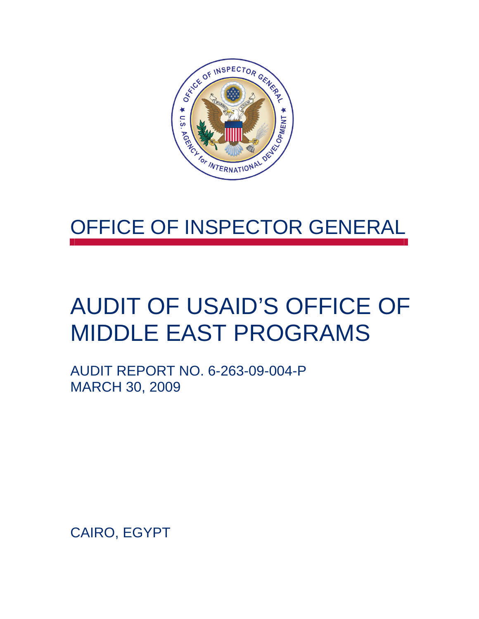

### OFFICE OF INSPECTOR GENERAL

## AUDIT OF USAID'S OFFICE OF MIDDLE EAST PROGRAMS

AUDIT REPORT NO. 6-263-09-004-P MARCH 30, 2009

CAIRO, EGYPT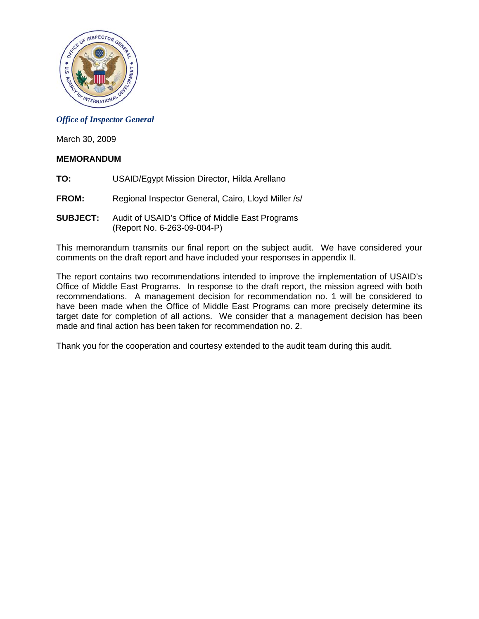

#### *Office of Inspector General*

March 30, 2009

#### **MEMORANDUM**

- **TO:** USAID/Egypt Mission Director, Hilda Arellano
- **FROM:** Regional Inspector General, Cairo, Lloyd Miller /s/
- **SUBJECT:** Audit of USAID's Office of Middle East Programs (Report No. 6-263-09-004-P)

This memorandum transmits our final report on the subject audit. We have considered your comments on the draft report and have included your responses in appendix II.

The report contains two recommendations intended to improve the implementation of USAID's Office of Middle East Programs. In response to the draft report, the mission agreed with both recommendations. A management decision for recommendation no. 1 will be considered to have been made when the Office of Middle East Programs can more precisely determine its target date for completion of all actions. We consider that a management decision has been made and final action has been taken for recommendation no. 2.

Thank you for the cooperation and courtesy extended to the audit team during this audit.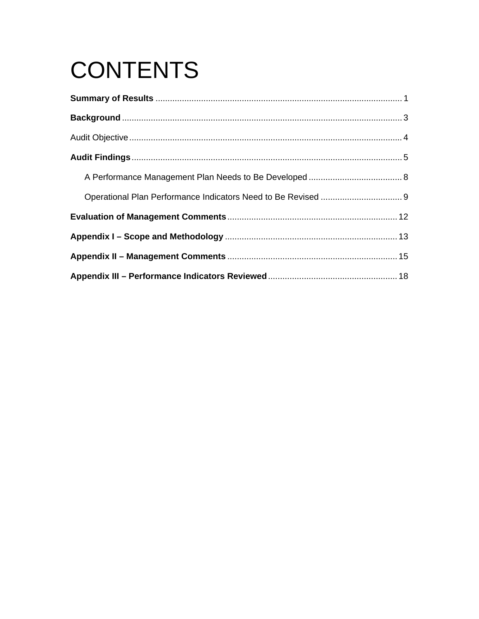# **CONTENTS**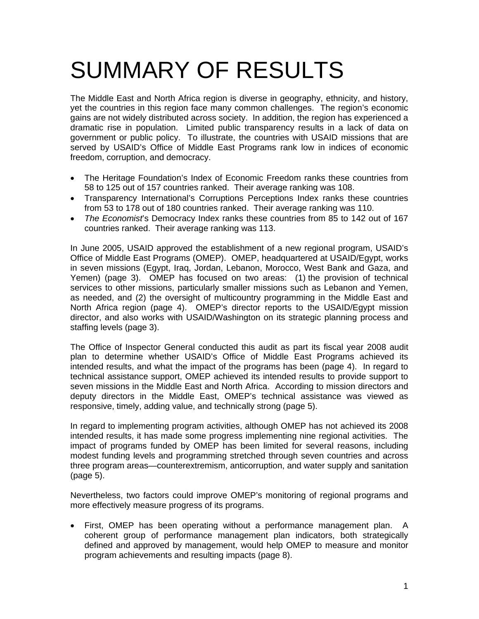## SUMMARY OF RESULTS

The Middle East and North Africa region is diverse in geography, ethnicity, and history, yet the countries in this region face many common challenges. The region's economic gains are not widely distributed across society. In addition, the region has experienced a dramatic rise in population. Limited public transparency results in a lack of data on government or public policy. To illustrate, the countries with USAID missions that are served by USAID's Office of Middle East Programs rank low in indices of economic freedom, corruption, and democracy.

- The Heritage Foundation's Index of Economic Freedom ranks these countries from 58 to 125 out of 157 countries ranked. Their average ranking was 108.
- Transparency International's Corruptions Perceptions Index ranks these countries from 53 to 178 out of 180 countries ranked. Their average ranking was 110.
- *The Economist*'s Democracy Index ranks these countries from 85 to 142 out of 167 countries ranked. Their average ranking was 113.

In June 2005, USAID approved the establishment of a new regional program, USAID's Office of Middle East Programs (OMEP). OMEP, headquartered at USAID/Egypt, works in seven missions (Egypt, Iraq, Jordan, Lebanon, Morocco, West Bank and Gaza, and Yemen) (page 3). OMEP has focused on two areas: (1) the provision of technical services to other missions, particularly smaller missions such as Lebanon and Yemen, as needed, and (2) the oversight of multicountry programming in the Middle East and North Africa region (page 4). OMEP's director reports to the USAID/Egypt mission director, and also works with USAID/Washington on its strategic planning process and staffing levels (page 3).

The Office of Inspector General conducted this audit as part its fiscal year 2008 audit plan to determine whether USAID's Office of Middle East Programs achieved its intended results, and what the impact of the programs has been (page 4). In regard to technical assistance support, OMEP achieved its intended results to provide support to seven missions in the Middle East and North Africa. According to mission directors and deputy directors in the Middle East, OMEP's technical assistance was viewed as responsive, timely, adding value, and technically strong (page 5).

In regard to implementing program activities, although OMEP has not achieved its 2008 intended results, it has made some progress implementing nine regional activities. The impact of programs funded by OMEP has been limited for several reasons, including modest funding levels and programming stretched through seven countries and across three program areas—counterextremism, anticorruption, and water supply and sanitation (page 5).

Nevertheless, two factors could improve OMEP's monitoring of regional programs and more effectively measure progress of its programs.

• First, OMEP has been operating without a performance management plan. A coherent group of performance management plan indicators, both strategically defined and approved by management, would help OMEP to measure and monitor program achievements and resulting impacts (page 8).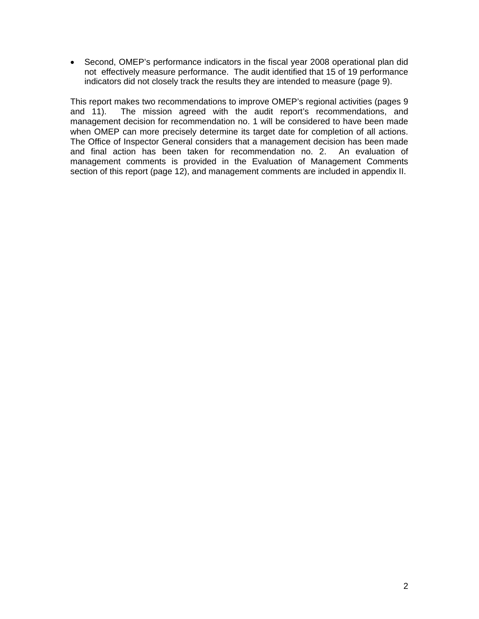• Second, OMEP's performance indicators in the fiscal year 2008 operational plan did not effectively measure performance. The audit identified that 15 of 19 performance indicators did not closely track the results they are intended to measure (page 9).

This report makes two recommendations to improve OMEP's regional activities (pages 9 and 11). The mission agreed with the audit report's recommendations, and management decision for recommendation no. 1 will be considered to have been made when OMEP can more precisely determine its target date for completion of all actions. The Office of Inspector General considers that a management decision has been made and final action has been taken for recommendation no. 2. An evaluation of management comments is provided in the Evaluation of Management Comments section of this report (page 12), and management comments are included in appendix II.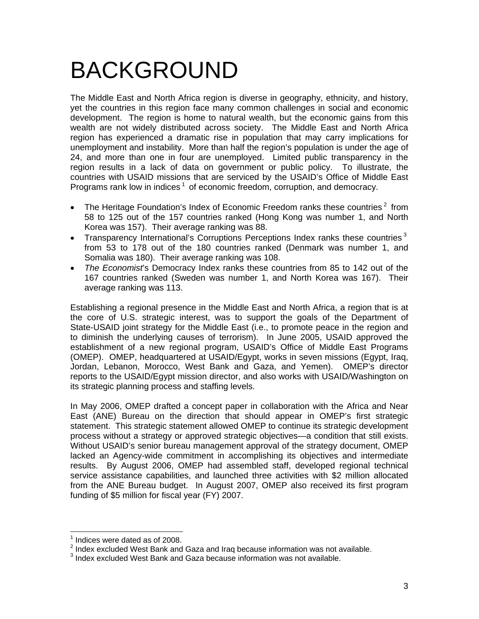## BACKGROUND

The Middle East and North Africa region is diverse in geography, ethnicity, and history, yet the countries in this region face many common challenges in social and economic development. The region is home to natural wealth, but the economic gains from this wealth are not widely distributed across society. The Middle East and North Africa region has experienced a dramatic rise in population that may carry implications for unemployment and instability. More than half the region's population is under the age of 24, and more than one in four are unemployed. Limited public transparency in the region results in a lack of data on government or public policy. To illustrate, the countries with USAID missions that are serviced by the USAID's Office of Middle East Programs rank low in indices<sup>1</sup> of economic freedom, corruption, and democracy.

- The Heritage Foundation's Index of Economic Freedom ranks these countries<sup>2</sup> from [58 to 125 out of the 157 countries ranked \(Hong Kong was number 1, and North](#page-5-1)  [Korea was 157\). Their average ranking was 88.](#page-5-1)
- Transparency International's Corruptions Perceptions Index ranks these countries<sup>3</sup> from 53 to 178 out of the 180 countries ranked (Denmark was number 1, and Somalia was 180). Their average ranking was 108.
- *The Economist*'s Democracy Index ranks these countries from 85 to 142 out of the 167 countries ranked (Sweden was number 1, and North Korea was 167). Their average ranking was 113.

Establishing a regional presence in the Middle East and North Africa, a region that is at the core of U.S. strategic interest, was to support the goals of the Department of State-USAID joint strategy for the Middle East (i.e., to promote peace in the region and to diminish the underlying causes of terrorism). In June 2005, USAID approved the establishment of a new regional program, USAID's Office of Middle East Programs (OMEP). OMEP, headquartered at USAID/Egypt, works in seven missions (Egypt, Iraq, Jordan, Lebanon, Morocco, West Bank and Gaza, and Yemen). OMEP's director reports to the USAID/Egypt mission director, and also works with USAID/Washington on its strategic planning process and staffing levels.

In May 2006, OMEP drafted a concept paper in collaboration with the Africa and Near East (ANE) Bureau on the direction that should appear in OMEP's first strategic statement. This strategic statement allowed OMEP to continue its strategic development process without a strategy or approved strategic objectives—a condition that still exists. Without USAID's senior bureau management approval of the strategy document, OMEP lacked an Agency-wide commitment in accomplishing its objectives and intermediate results. By August 2006, OMEP had assembled staff, developed regional technical service assistance capabilities, and launched three activities with \$2 million allocated from the ANE Bureau budget. In August 2007, OMEP also received its first program funding of \$5 million for fiscal year (FY) 2007.

  $<sup>1</sup>$  Indices were dated as of 2008.</sup>

<span id="page-5-1"></span><span id="page-5-0"></span> $2$  Index excluded West Bank and Gaza and Iraq because information was not available.

<sup>&</sup>lt;sup>3</sup> Index excluded West Bank and Gaza because information was not available.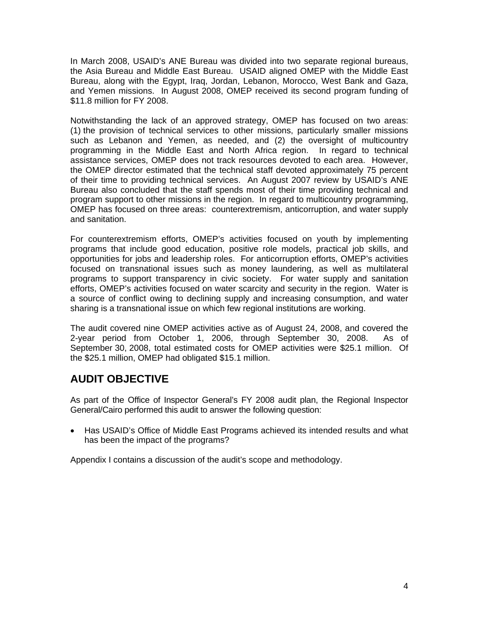In March 2008, USAID's ANE Bureau was divided into two separate regional bureaus, the Asia Bureau and Middle East Bureau. USAID aligned OMEP with the Middle East Bureau, along with the Egypt, Iraq, Jordan, Lebanon, Morocco, West Bank and Gaza, and Yemen missions. In August 2008, OMEP received its second program funding of \$11.8 million for FY 2008.

Notwithstanding the lack of an approved strategy, OMEP has focused on two areas: (1) the provision of technical services to other missions, particularly smaller missions such as Lebanon and Yemen, as needed, and (2) the oversight of multicountry programming in the Middle East and North Africa region. In regard to technical assistance services, OMEP does not track resources devoted to each area. However, the OMEP director estimated that the technical staff devoted approximately 75 percent of their time to providing technical services. An August 2007 review by USAID's ANE Bureau also concluded that the staff spends most of their time providing technical and program support to other missions in the region. In regard to multicountry programming, OMEP has focused on three areas: counterextremism, anticorruption, and water supply and sanitation.

For counterextremism efforts, OMEP's activities focused on youth by implementing programs that include good education, positive role models, practical job skills, and opportunities for jobs and leadership roles. For anticorruption efforts, OMEP's activities focused on transnational issues such as money laundering, as well as multilateral programs to support transparency in civic society. For water supply and sanitation efforts, OMEP's activities focused on water scarcity and security in the region. Water is a source of conflict owing to declining supply and increasing consumption, and water sharing is a transnational issue on which few regional institutions are working.

The audit covered nine OMEP activities active as of August 24, 2008, and covered the 2-year period from October 1, 2006, through September 30, 2008. As of September 30, 2008, total estimated costs for OMEP activities were \$25.1 million. Of the \$25.1 million, OMEP had obligated \$15.1 million.

### **AUDIT OBJECTIVE**

As part of the Office of Inspector General's FY 2008 audit plan, the Regional Inspector General/Cairo performed this audit to answer the following question:

• Has USAID's Office of Middle East Programs achieved its intended results and what has been the impact of the programs?

Appendix I contains a discussion of the audit's scope and methodology.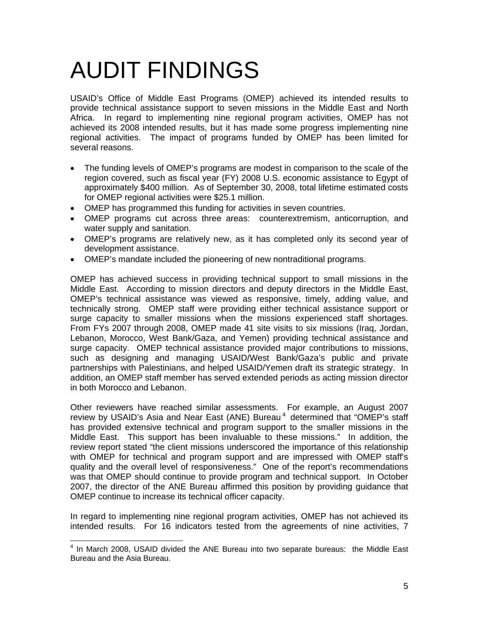## AUDIT FINDINGS

USAID's Office of Middle East Programs (OMEP) achieved its intended results to provide technical assistance support to seven missions in the Middle East and North Africa. In regard to implementing nine regional program activities, OMEP has not achieved its 2008 intended results, but it has made some progress implementing nine regional activities. The impact of programs funded by OMEP has been limited for several reasons.

- The funding levels of OMEP's programs are modest in comparison to the scale of the region covered, such as fiscal year (FY) 2008 U.S. economic assistance to Egypt of approximately \$400 million. As of September 30, 2008, total lifetime estimated costs for OMEP regional activities were \$25.1 million.
- OMEP has programmed this funding for activities in seven countries.
- OMEP programs cut across three areas: counterextremism, anticorruption, and water supply and sanitation.
- OMEP's programs are relatively new, as it has completed only its second year of development assistance.
- OMEP's mandate included the pioneering of new nontraditional programs.

OMEP has achieved success in providing technical support to small missions in the Middle East. According to mission directors and deputy directors in the Middle East, OMEP's technical assistance was viewed as responsive, timely, adding value, and technically strong. OMEP staff were providing either technical assistance support or surge capacity to smaller missions when the missions experienced staff shortages. From FYs 2007 through 2008, OMEP made 41 site visits to six missions (Iraq, Jordan, Lebanon, Morocco, West Bank/Gaza, and Yemen) providing technical assistance and surge capacity. OMEP technical assistance provided major contributions to missions, such as designing and managing USAID/West Bank/Gaza's public and private partnerships with Palestinians, and helped USAID/Yemen draft its strategic strategy. In addition, an OMEP staff member has served extended periods as acting mission director in both Morocco and Lebanon.

Other reviewers have reached similar assessments. For example, an August 2007 review by USAID's Asia and Near East (ANE) Bureau<sup>4</sup> determined that "OMEP's staff [has provided extensive technical and program support to the smaller missions in the](#page-7-0)  [Middle East. This support has been invaluable to these missions." In addition, the](#page-7-0)  [review report stated "the client missions underscored the importance of this relationship](#page-7-0)  [with OMEP for technical and program support and are impressed with OMEP staff's](#page-7-0)  [quality and the overall level of responsiveness." One of the report's recommendations](#page-7-0)  [was that OMEP should continue to provide program and technical support. In October](#page-7-0)  [2007, the director of the ANE Bureau affirmed this position by providing guidance that](#page-7-0)  [OMEP continue to increase its technical officer capacity.](#page-7-0) 

In regard to implementing nine regional program activities, OMEP has not achieved its intended results. For 16 indicators tested from the agreements of nine activities, 7

<span id="page-7-0"></span> 4 In March 2008, USAID divided the ANE Bureau into two separate bureaus: the Middle East Bureau and the Asia Bureau.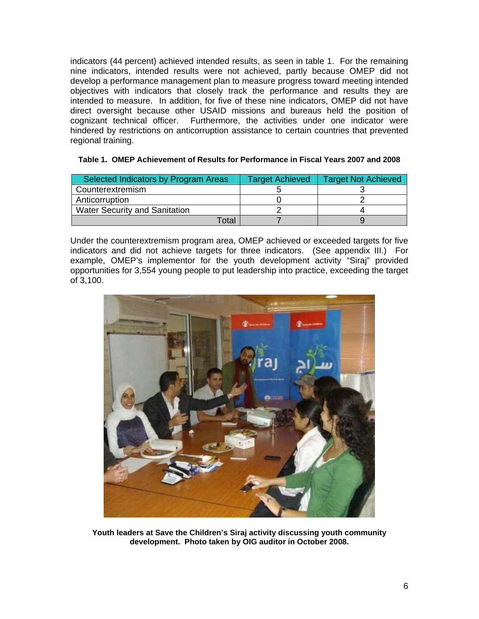indicators (44 percent) achieved intended results, as seen in table 1. For the remaining nine indicators, intended results were not achieved, partly because OMEP did not develop a performance management plan to measure progress toward meeting intended objectives with indicators that closely track the performance and results they are intended to measure. In addition, for five of these nine indicators, OMEP did not have direct oversight because other USAID missions and bureaus held the position of cognizant technical officer. Furthermore, the activities under one indicator were hindered by restrictions on anticorruption assistance to certain countries that prevented regional training.

| Selected Indicators by Program Areas | <b>Target Achieved</b> | <b>Target Not Achieved</b> |
|--------------------------------------|------------------------|----------------------------|
| Counterextremism                     |                        |                            |
| Anticorruption                       |                        |                            |
| <b>Water Security and Sanitation</b> |                        |                            |
| Гоtal                                |                        |                            |

#### **Table 1. OMEP Achievement of Results for Performance in Fiscal Years 2007 and 2008**

Under the counterextremism program area, OMEP achieved or exceeded targets for five indicators and did not achieve targets for three indicators. (See appendix III.) For example, OMEP's implementor for the youth development activity "Siraj" provided opportunities for 3,554 young people to put leadership into practice, exceeding the target of 3,100.



**Youth leaders at Save the Children's Siraj activity discussing youth community development. Photo taken by OIG auditor in October 2008.**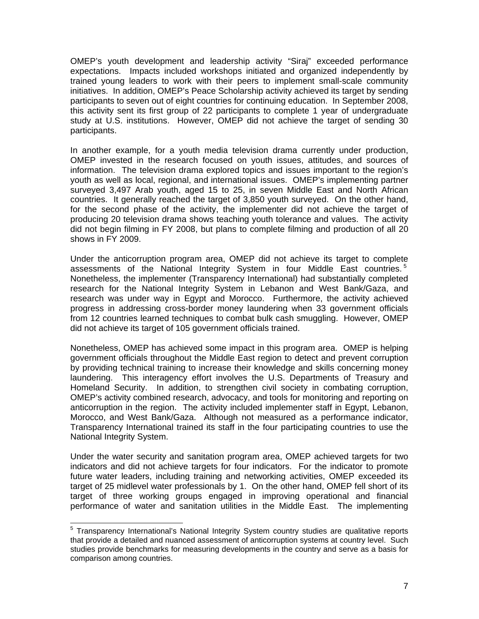OMEP's youth development and leadership activity "Siraj" exceeded performance expectations. Impacts included workshops initiated and organized independently by trained young leaders to work with their peers to implement small-scale community initiatives. In addition, OMEP's Peace Scholarship activity achieved its target by sending participants to seven out of eight countries for continuing education. In September 2008, this activity sent its first group of 22 participants to complete 1 year of undergraduate study at U.S. institutions. However, OMEP did not achieve the target of sending 30 participants.

In another example, for a youth media television drama currently under production, OMEP invested in the research focused on youth issues, attitudes, and sources of information. The television drama explored topics and issues important to the region's youth as well as local, regional, and international issues. OMEP's implementing partner surveyed 3,497 Arab youth, aged 15 to 25, in seven Middle East and North African countries. It generally reached the target of 3,850 youth surveyed. On the other hand, for the second phase of the activity, the implementer did not achieve the target of producing 20 television drama shows teaching youth tolerance and values. The activity did not begin filming in FY 2008, but plans to complete filming and production of all 20 shows in FY 2009.

Under the anticorruption program area, OMEP did not achieve its target to complete assessments of the National Integrity System in four Middle East countries.<sup>5</sup> Nonetheless, the implementer (Transparency International) had substantially completed research for the National Integrity System in Lebanon and West Bank/Gaza, and research was under way in Egypt and Morocco. Furthermore, the activity achieved progress in addressing cross-border money laundering when 33 government officials from 12 countries learned techniques to combat bulk cash smuggling. However, OMEP did not achieve its target of 105 government officials trained.

Nonetheless, OMEP has achieved some impact in this program area. OMEP is helping government officials throughout the Middle East region to detect and prevent corruption by providing technical training to increase their knowledge and skills concerning money laundering. This interagency effort involves the U.S. Departments of Treasury and Homeland Security. In addition, to strengthen civil society in combating corruption, OMEP's activity combined research, advocacy, and tools for monitoring and reporting on anticorruption in the region. The activity included implementer staff in Egypt, Lebanon, Morocco, and West Bank/Gaza. Although not measured as a performance indicator, Transparency International trained its staff in the four participating countries to use the National Integrity System.

Under the water security and sanitation program area, OMEP achieved targets for two indicators and did not achieve targets for four indicators. For the indicator to promote future water leaders, including training and networking activities, OMEP exceeded its target of 25 midlevel water professionals by 1. On the other hand, OMEP fell short of its target of three working groups engaged in improving operational and financial performance of water and sanitation utilities in the Middle East. The implementing

 5 Transparency International's National Integrity System country studies are qualitative reports that provide a detailed and nuanced assessment of anticorruption systems at country level. Such studies provide benchmarks for measuring developments in the country and serve as a basis for comparison among countries.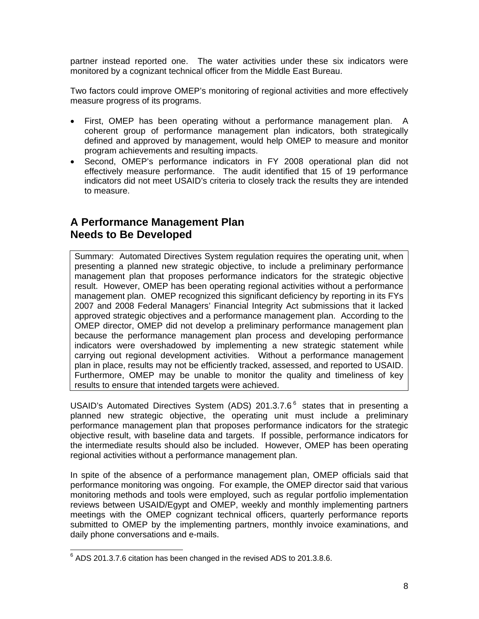partner instead reported one. The water activities under these six indicators were monitored by a cognizant technical officer from the Middle East Bureau.

Two factors could improve OMEP's monitoring of regional activities and more effectively measure progress of its programs.

- First, OMEP has been operating without a performance management plan. A coherent group of performance management plan indicators, both strategically defined and approved by management, would help OMEP to measure and monitor program achievements and resulting impacts.
- Second, OMEP's performance indicators in FY 2008 operational plan did not effectively measure performance. The audit identified that 15 of 19 performance indicators did not meet USAID's criteria to closely track the results they are intended to measure.

### **A Performance Management Plan Needs to Be Developed**

Summary: Automated Directives System regulation requires the operating unit, when presenting a planned new strategic objective, to include a preliminary performance management plan that proposes performance indicators for the strategic objective result. However, OMEP has been operating regional activities without a performance management plan. OMEP recognized this significant deficiency by reporting in its FYs 2007 and 2008 Federal Managers' Financial Integrity Act submissions that it lacked approved strategic objectives and a performance management plan. According to the OMEP director, OMEP did not develop a preliminary performance management plan because the performance management plan process and developing performance indicators were overshadowed by implementing a new strategic statement while carrying out regional development activities. Without a performance management plan in place, results may not be efficiently tracked, assessed, and reported to USAID. Furthermore, OMEP may be unable to monitor the quality and timeliness of key results to ensure that intended targets were achieved.

USAID's Automated Directives System (ADS) 201.3.7.6 $<sup>6</sup>$  states that in presenting a</sup> planned new strategic objective, the operating unit must include a preliminary performance management plan that proposes performance indicators for the strategic objective result, with baseline data and targets. If possible, performance indicators for the intermediate results should also be included. However, OMEP has been operating regional activities without a performance management plan.

In spite of the absence of a performance management plan, OMEP officials said that performance monitoring was ongoing. For example, the OMEP director said that various monitoring methods and tools were employed, such as regular portfolio implementation reviews between USAID/Egypt and OMEP, weekly and monthly implementing partners meetings with the OMEP cognizant technical officers, quarterly performance reports submitted to OMEP by the implementing partners, monthly invoice examinations, and daily phone conversations and e-mails.

 6 ADS 201.3.7.6 citation has been changed in the revised ADS to 201.3.8.6.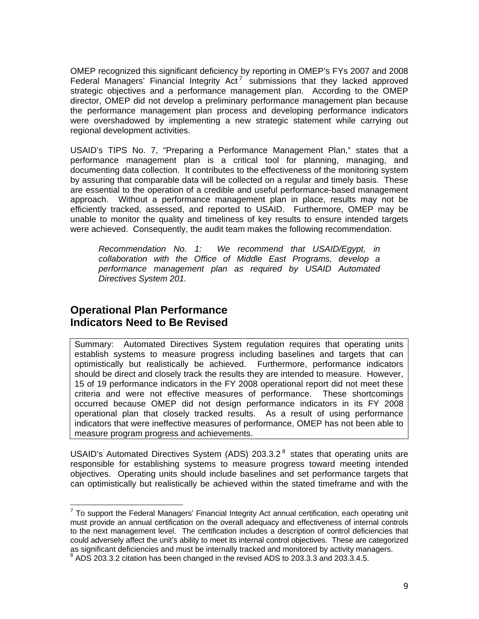OMEP recognized this significant deficiency by reporting in OMEP's FYs 2007 and 2008 Federal Managers' Financial Integrity  $Act^7$  submissions that they lacked approved strategic objectives and a performance management plan. According to the OMEP director, OMEP did not develop a preliminary performance management plan because the performance management plan process and developing performance indicators were overshadowed by implementing a new strategic statement while carrying out regional development activities.

USAID's TIPS No. 7, "Preparing a Performance Management Plan," states that a performance management plan is a critical tool for planning, managing, and documenting data collection. It contributes to the effectiveness of the monitoring system by assuring that comparable data will be collected on a regular and timely basis. These are essential to the operation of a credible and useful performance-based management approach. Without a performance management plan in place, results may not be efficiently tracked, assessed, and reported to USAID. Furthermore, OMEP may be unable to monitor the quality and timeliness of key results to ensure intended targets were achieved. Consequently, the audit team makes the following recommendation.

*Recommendation No. 1: We recommend that USAID/Egypt, in collaboration with the Office of Middle East Programs, develop a performance management plan as required by USAID Automated Directives System 201.* 

### <span id="page-11-0"></span>**Operational Plan Performance Indicators Need to Be Revised**

Summary: Automated Directives System regulation requires that operating units establish systems to measure progress including baselines and targets that can optimistically but realistically be achieved. Furthermore, performance indicators should be direct and closely track the results they are intended to measure. However, 15 of 19 performance indicators in the FY 2008 operational report did not meet these criteria and were not effective measures of performance. These shortcomings occurred because OMEP did not design performance indicators in its FY 2008 operational plan that closely tracked results. As a result of using performance indicators that were ineffective measures of performance, OMEP has not been able to measure program progress and achievements.

USAID's Automated Directives System (ADS) 203.3.2<sup>8</sup> states that operating units are responsible for establishing systems to measure progress toward meeting intended objectives. Operating units should include baselines and set performance targets that can optimistically but realistically be achieved within the stated timeframe and with the

**TELECTS**<br>The support the Federal Managers' Financial Integrity Act annual certification, each operating unit must provide an annual certification on the overall adequacy and effectiveness of internal controls to the next management level. The certification includes a description of control deficiencies that could adversely affect the unit's ability to meet its internal control objectives. These are categorized as significant deficiencies and must be internally tracked and monitored by activity managers.

ADS 203.3.2 citation has been changed in the revised ADS to 203.3.3 and 203.3.4.5.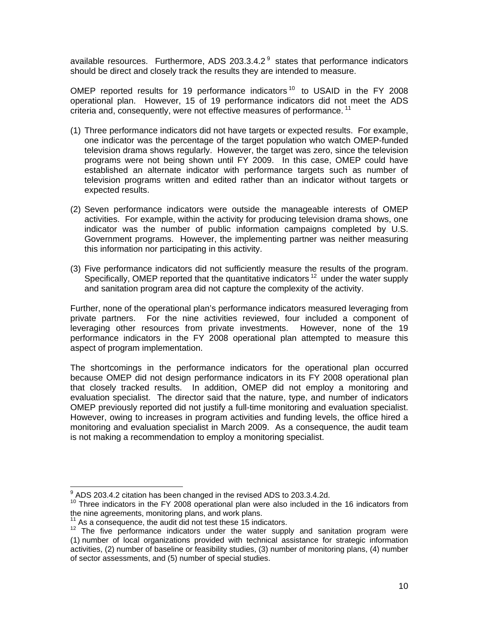available resources. Furthermore, ADS 203.3.4.2 $<sup>9</sup>$  states that performance indicators</sup> should be direct and closely track the results they are intended to measure.

OMEP reported results for 19 performance indicators<sup>10</sup> to USAID in the FY 2008 operational plan. However, 15 of 19 performance indicators did not meet the ADS criteria and, consequently, were not effective measures of performance.<sup>11</sup>

- (1) Three performance indicators did not have targets or expected results. For example, one indicator was the percentage of the target population who watch OMEP-funded television drama shows regularly. However, the target was zero, since the television programs were not being shown until FY 2009. In this case, OMEP could have established an alternate indicator with performance targets such as number of television programs written and edited rather than an indicator without targets or expected results.
- (2) Seven performance indicators were outside the manageable interests of OMEP activities. For example, within the activity for producing television drama shows, one indicator was the number of public information campaigns completed by U.S. Government programs. However, the implementing partner was neither measuring this information nor participating in this activity.
- (3) Five performance indicators did not sufficiently measure the results of the program. Specifically, OMEP reported that the quantitative indicators  $12$  under the water supply and sanitation program area did not capture the complexity of the activity.

Further, none of the operational plan's performance indicators measured leveraging from private partners. For the nine activities reviewed, four included a component of leveraging other resources from private investments. However, none of the 19 performance indicators in the FY 2008 operational plan attempted to measure this aspect of program implementation.

The shortcomings in the performance indicators for the operational plan occurred because OMEP did not design performance indicators in its FY 2008 operational plan that closely tracked results. In addition, OMEP did not employ a monitoring and evaluation specialist. The director said that the nature, type, and number of indicators OMEP previously reported did not justify a full-time monitoring and evaluation specialist. However, owing to increases in program activities and funding levels, the office hired a monitoring and evaluation specialist in March 2009. As a consequence, the audit team is not making a recommendation to employ a monitoring specialist.

 <sup>9</sup> ADS 203.4.2 citation has been changed in the revised ADS to 203.3.4.2d.

<sup>&</sup>lt;sup>10</sup> Three indicators in the FY 2008 operational plan were also included in the 16 indicators from the nine agreements, monitoring plans, and work plans.<br><sup>11</sup> As a consequence, the audit did not test these 15 indicators.

<sup>12</sup> The five performance indicators under the water supply and sanitation program were (1) number of local organizations provided with technical assistance for strategic information activities, (2) number of baseline or feasibility studies, (3) number of monitoring plans, (4) number of sector assessments, and (5) number of special studies.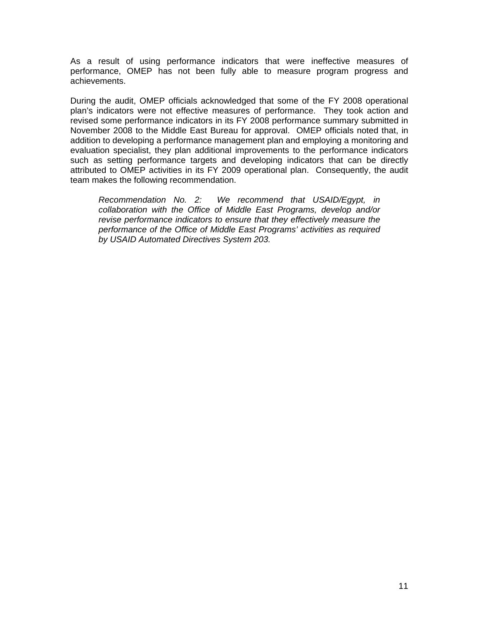As a result of using performance indicators that were ineffective measures of performance, OMEP has not been fully able to measure program progress and achievements.

During the audit, OMEP officials acknowledged that some of the FY 2008 operational plan's indicators were not effective measures of performance. They took action and revised some performance indicators in its FY 2008 performance summary submitted in November 2008 to the Middle East Bureau for approval. OMEP officials noted that, in addition to developing a performance management plan and employing a monitoring and evaluation specialist, they plan additional improvements to the performance indicators such as setting performance targets and developing indicators that can be directly attributed to OMEP activities in its FY 2009 operational plan. Consequently, the audit team makes the following recommendation.

*Recommendation No. 2: We recommend that USAID/Egypt, in collaboration with the Office of Middle East Programs, develop and/or revise performance indicators to ensure that they effectively measure the performance of the Office of Middle East Programs' activities as required by USAID Automated Directives System 203.*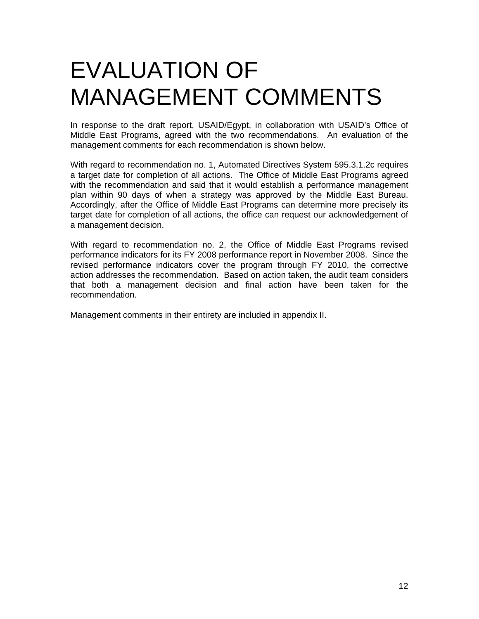## EVALUATION OF MANAGEMENT COMMENTS

In response to the draft report, USAID/Egypt, in collaboration with USAID's Office of Middle East Programs, agreed with the two recommendations. An evaluation of the management comments for each recommendation is shown below.

With regard to recommendation no. 1, Automated Directives System 595.3.1.2c requires a target date for completion of all actions. The Office of Middle East Programs agreed with the recommendation and said that it would establish a performance management plan within 90 days of when a strategy was approved by the Middle East Bureau. Accordingly, after the Office of Middle East Programs can determine more precisely its target date for completion of all actions, the office can request our acknowledgement of a management decision.

With regard to recommendation no. 2, the Office of Middle East Programs revised performance indicators for its FY 2008 performance report in November 2008. Since the revised performance indicators cover the program through FY 2010, the corrective action addresses the recommendation. Based on action taken, the audit team considers that both a management decision and final action have been taken for the recommendation.

Management comments in their entirety are included in appendix II.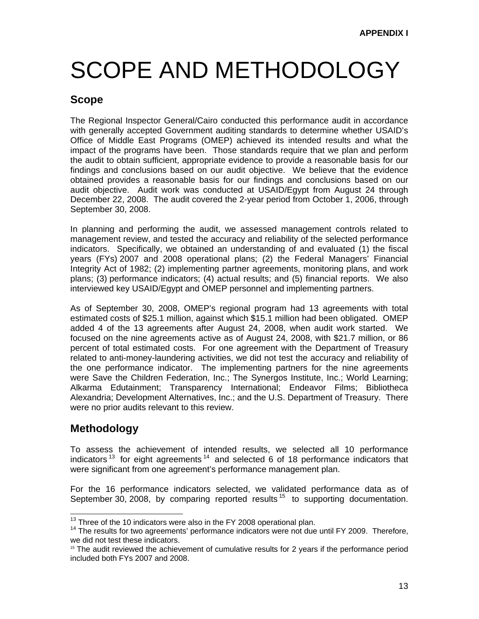## SCOPE AND METHODOLOGY

### **Scope**

The Regional Inspector General/Cairo conducted this performance audit in accordance with generally accepted Government auditing standards to determine whether USAID's Office of Middle East Programs (OMEP) achieved its intended results and what the impact of the programs have been. Those standards require that we plan and perform the audit to obtain sufficient, appropriate evidence to provide a reasonable basis for our findings and conclusions based on our audit objective. We believe that the evidence obtained provides a reasonable basis for our findings and conclusions based on our audit objective. Audit work was conducted at USAID/Egypt from August 24 through December 22, 2008. The audit covered the 2-year period from October 1, 2006, through September 30, 2008.

In planning and performing the audit, we assessed management controls related to management review, and tested the accuracy and reliability of the selected performance indicators. Specifically, we obtained an understanding of and evaluated (1) the fiscal years (FYs) 2007 and 2008 operational plans; (2) the Federal Managers' Financial Integrity Act of 1982; (2) implementing partner agreements, monitoring plans, and work plans; (3) performance indicators; (4) actual results; and (5) financial reports. We also interviewed key USAID/Egypt and OMEP personnel and implementing partners.

As of September 30, 2008, OMEP's regional program had 13 agreements with total estimated costs of \$25.1 million, against which \$15.1 million had been obligated. OMEP added 4 of the 13 agreements after August 24, 2008, when audit work started. We focused on the nine agreements active as of August 24, 2008, with \$21.7 million, or 86 percent of total estimated costs. For one agreement with the Department of Treasury related to anti-money-laundering activities, we did not test the accuracy and reliability of the one performance indicator. The implementing partners for the nine agreements were Save the Children Federation, Inc.; The Synergos Institute, Inc.; World Learning; Alkarma Edutainment; Transparency International; Endeavor Films; Bibliotheca Alexandria; Development Alternatives, Inc.; and the U.S. Department of Treasury. There were no prior audits relevant to this review.

### **Methodology**

To assess the achievement of intended results, we selected all 10 performance indicators<sup>13</sup> for eight agreements<sup>14</sup> and selected 6 of 18 performance indicators that were significant from one agreement's performance management plan.

For the 16 performance indicators selected, we validated performance data as of September 30, 2008, by comparing reported results  $15$  to supporting documentation.

 $13$  Three of the 10 indicators were also in the FY 2008 operational plan.<br> $14$  The results for two agreements' performance indicators were not due until FY 2009. Therefore, we did not test these indicators.

 $15$  The audit reviewed the achievement of cumulative results for 2 years if the performance period included both FYs 2007 and 2008.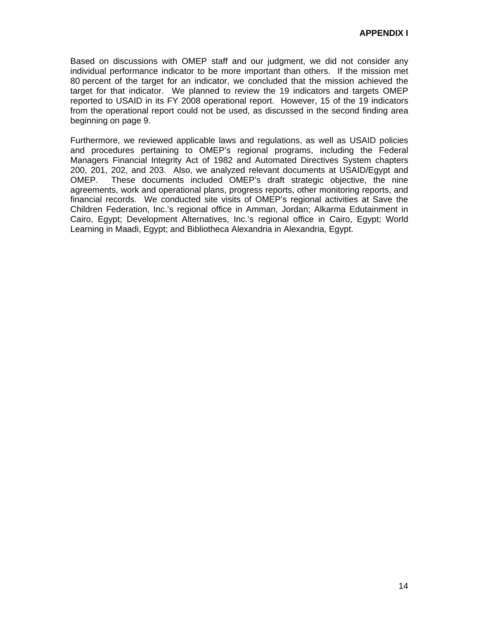[Based on discussions with OMEP staff and our judgment, we did not consider any](#page-11-0)  [individual performance indicator to be more important than others. If the mission met](#page-11-0)  [80 percent of the target for an indicator, we concluded that the mission achieved the](#page-11-0)  [target for that indicator. We planned to review the 19 indicators and targets OMEP](#page-11-0)  [reported to USAID in its FY 2008 operational report. However, 15 of the 19 indicators](#page-11-0)  [from the operational report could not be used, as discussed in the second finding area](#page-11-0)  [beginning on page 9.](#page-11-0) 

Furthermore, we reviewed applicable laws and regulations, as well as USAID policies and procedures pertaining to OMEP's regional programs, including the Federal Managers Financial Integrity Act of 1982 and Automated Directives System chapters 200, 201, 202, and 203. Also, we analyzed relevant documents at USAID/Egypt and OMEP. These documents included OMEP's draft strategic objective, the nine agreements, work and operational plans, progress reports, other monitoring reports, and financial records. We conducted site visits of OMEP's regional activities at Save the Children Federation, Inc.'s regional office in Amman, Jordan; Alkarma Edutainment in Cairo, Egypt; Development Alternatives, Inc.'s regional office in Cairo, Egypt; World Learning in Maadi, Egypt; and Bibliotheca Alexandria in Alexandria, Egypt.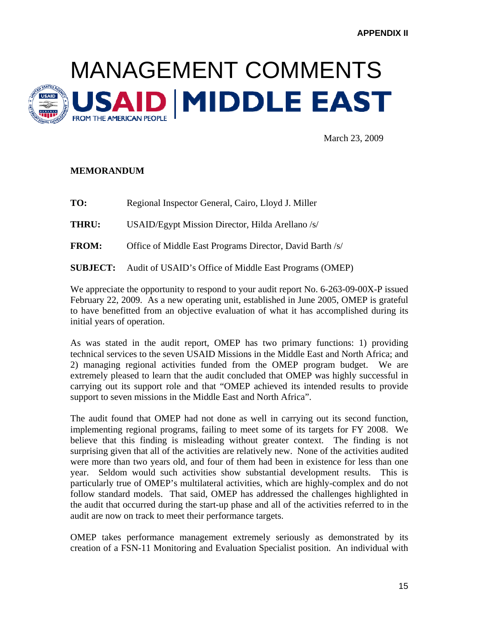

March 23, 2009

#### **MEMORANDUM**

**TO:** Regional Inspector General, Cairo, Lloyd J. Miller **THRU:** USAID/Egypt Mission Director, Hilda Arellano /s/ **FROM:** Office of Middle East Programs Director, David Barth /s/ **SUBJECT:** Audit of USAID's Office of Middle East Programs (OMEP)

We appreciate the opportunity to respond to your audit report No. 6-263-09-00X-P issued February 22, 2009. As a new operating unit, established in June 2005, OMEP is grateful to have benefitted from an objective evaluation of what it has accomplished during its initial years of operation.

As was stated in the audit report, OMEP has two primary functions: 1) providing technical services to the seven USAID Missions in the Middle East and North Africa; and 2) managing regional activities funded from the OMEP program budget. We are extremely pleased to learn that the audit concluded that OMEP was highly successful in carrying out its support role and that "OMEP achieved its intended results to provide support to seven missions in the Middle East and North Africa".

The audit found that OMEP had not done as well in carrying out its second function, implementing regional programs, failing to meet some of its targets for FY 2008. We believe that this finding is misleading without greater context. The finding is not surprising given that all of the activities are relatively new. None of the activities audited were more than two years old, and four of them had been in existence for less than one year. Seldom would such activities show substantial development results. This is particularly true of OMEP's multilateral activities, which are highly-complex and do not follow standard models. That said, OMEP has addressed the challenges highlighted in the audit that occurred during the start-up phase and all of the activities referred to in the audit are now on track to meet their performance targets.

OMEP takes performance management extremely seriously as demonstrated by its creation of a FSN-11 Monitoring and Evaluation Specialist position. An individual with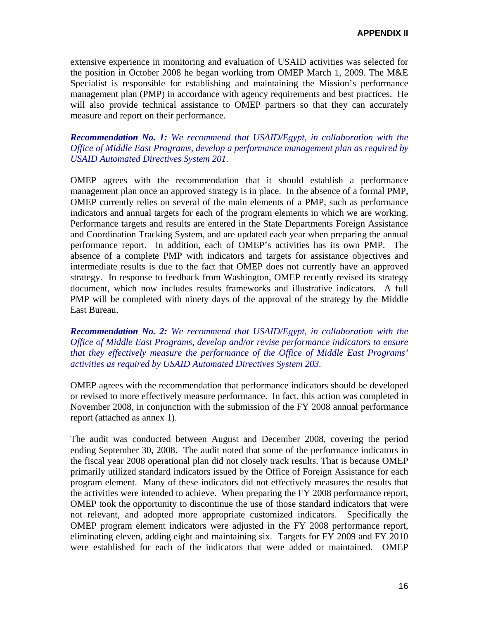extensive experience in monitoring and evaluation of USAID activities was selected for the position in October 2008 he began working from OMEP March 1, 2009. The M&E Specialist is responsible for establishing and maintaining the Mission's performance management plan (PMP) in accordance with agency requirements and best practices. He will also provide technical assistance to OMEP partners so that they can accurately measure and report on their performance.

#### *Recommendation No. 1: We recommend that USAID/Egypt, in collaboration with the Office of Middle East Programs, develop a performance management plan as required by USAID Automated Directives System 201.*

OMEP agrees with the recommendation that it should establish a performance management plan once an approved strategy is in place. In the absence of a formal PMP, OMEP currently relies on several of the main elements of a PMP, such as performance indicators and annual targets for each of the program elements in which we are working. Performance targets and results are entered in the State Departments Foreign Assistance and Coordination Tracking System, and are updated each year when preparing the annual performance report. In addition, each of OMEP's activities has its own PMP. The absence of a complete PMP with indicators and targets for assistance objectives and intermediate results is due to the fact that OMEP does not currently have an approved strategy. In response to feedback from Washington, OMEP recently revised its strategy document, which now includes results frameworks and illustrative indicators. A full PMP will be completed with ninety days of the approval of the strategy by the Middle East Bureau.

*Recommendation No. 2: We recommend that USAID/Egypt, in collaboration with the Office of Middle East Programs, develop and/or revise performance indicators to ensure that they effectively measure the performance of the Office of Middle East Programs' activities as required by USAID Automated Directives System 203.* 

OMEP agrees with the recommendation that performance indicators should be developed or revised to more effectively measure performance. In fact, this action was completed in November 2008, in conjunction with the submission of the FY 2008 annual performance report (attached as annex 1).

The audit was conducted between August and December 2008, covering the period ending September 30, 2008. The audit noted that some of the performance indicators in the fiscal year 2008 operational plan did not closely track results. That is because OMEP primarily utilized standard indicators issued by the Office of Foreign Assistance for each program element. Many of these indicators did not effectively measures the results that the activities were intended to achieve. When preparing the FY 2008 performance report, OMEP took the opportunity to discontinue the use of those standard indicators that were not relevant, and adopted more appropriate customized indicators. Specifically the OMEP program element indicators were adjusted in the FY 2008 performance report, eliminating eleven, adding eight and maintaining six. Targets for FY 2009 and FY 2010 were established for each of the indicators that were added or maintained. OMEP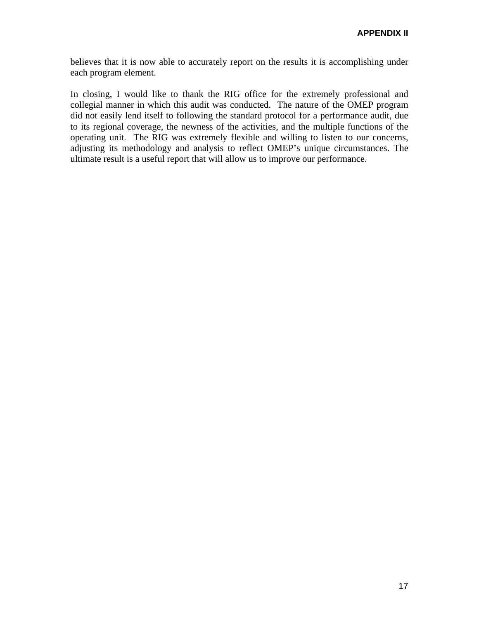believes that it is now able to accurately report on the results it is accomplishing under each program element.

In closing, I would like to thank the RIG office for the extremely professional and collegial manner in which this audit was conducted. The nature of the OMEP program did not easily lend itself to following the standard protocol for a performance audit, due to its regional coverage, the newness of the activities, and the multiple functions of the operating unit. The RIG was extremely flexible and willing to listen to our concerns, adjusting its methodology and analysis to reflect OMEP's unique circumstances. The ultimate result is a useful report that will allow us to improve our performance.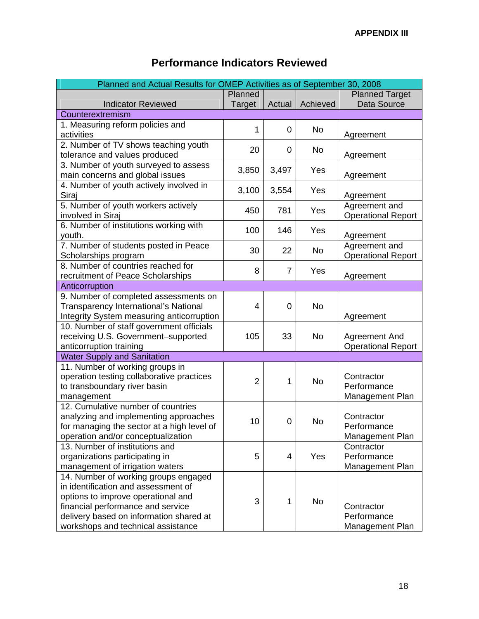| Planned and Actual Results for OMEP Activities as of September 30, 2008 |                |                |           |                           |
|-------------------------------------------------------------------------|----------------|----------------|-----------|---------------------------|
|                                                                         | Planned        |                |           | <b>Planned Target</b>     |
| <b>Indicator Reviewed</b>                                               | Target         | Actual         | Achieved  | Data Source               |
| Counterextremism                                                        |                |                |           |                           |
| 1. Measuring reform policies and                                        |                |                |           |                           |
| activities                                                              | 1              | 0              | <b>No</b> | Agreement                 |
| 2. Number of TV shows teaching youth                                    |                |                |           |                           |
| tolerance and values produced                                           | 20             | 0              | No.       | Agreement                 |
| 3. Number of youth surveyed to assess                                   |                |                |           |                           |
| main concerns and global issues                                         | 3,850          | 3,497          | Yes       | Agreement                 |
| 4. Number of youth actively involved in                                 |                |                |           |                           |
| Siraj                                                                   | 3,100          | 3,554          | Yes       | Agreement                 |
| 5. Number of youth workers actively                                     |                |                |           | Agreement and             |
| involved in Siraj                                                       | 450            | 781            | Yes       | <b>Operational Report</b> |
| 6. Number of institutions working with                                  |                |                |           |                           |
| youth.                                                                  | 100            | 146            | Yes       | Agreement                 |
| 7. Number of students posted in Peace                                   |                |                |           | Agreement and             |
| Scholarships program                                                    | 30             | 22             | No        | <b>Operational Report</b> |
| 8. Number of countries reached for                                      | 8              | $\overline{7}$ | Yes       |                           |
| recruitment of Peace Scholarships                                       |                |                |           | Agreement                 |
| Anticorruption                                                          |                |                |           |                           |
| 9. Number of completed assessments on                                   |                |                |           |                           |
| Transparency International's National                                   | 4              | 0              | <b>No</b> |                           |
| Integrity System measuring anticorruption                               |                |                |           | Agreement                 |
| 10. Number of staff government officials                                |                |                |           |                           |
| receiving U.S. Government-supported                                     | 105            | 33             | <b>No</b> | Agreement And             |
| anticorruption training                                                 |                |                |           | <b>Operational Report</b> |
| <b>Water Supply and Sanitation</b>                                      |                |                |           |                           |
| 11. Number of working groups in                                         |                |                |           |                           |
| operation testing collaborative practices                               | $\overline{2}$ | 1              | <b>No</b> | Contractor                |
| to transboundary river basin                                            |                |                |           | Performance               |
| management                                                              |                |                |           | Management Plan           |
| 12. Cumulative number of countries                                      |                |                |           |                           |
| analyzing and implementing approaches                                   | 10             | 0              | <b>No</b> | Contractor                |
| for managing the sector at a high level of                              |                |                |           | Performance               |
| operation and/or conceptualization                                      |                |                |           | Management Plan           |
| 13. Number of institutions and                                          |                |                |           | Contractor                |
| organizations participating in                                          | 5              | 4              | Yes       | Performance               |
| management of irrigation waters                                         |                |                |           | Management Plan           |
| 14. Number of working groups engaged                                    |                |                |           |                           |
| in identification and assessment of                                     |                |                |           |                           |
| options to improve operational and                                      | 3              | $\mathbf{1}$   | No        |                           |
| financial performance and service                                       |                |                |           | Contractor                |
| delivery based on information shared at                                 |                |                |           | Performance               |
| workshops and technical assistance                                      |                |                |           | Management Plan           |

### **Performance Indicators Reviewed**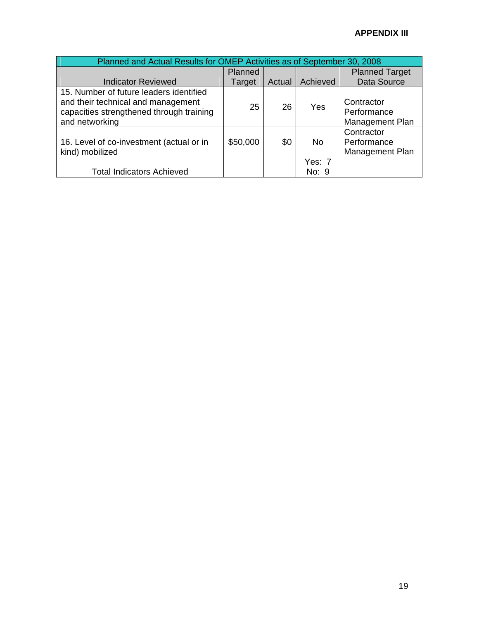### **APPENDIX III**

| Planned and Actual Results for OMEP Activities as of September 30, 2008                                                                     |                |        |                 |                                              |
|---------------------------------------------------------------------------------------------------------------------------------------------|----------------|--------|-----------------|----------------------------------------------|
|                                                                                                                                             | <b>Planned</b> |        |                 | <b>Planned Target</b>                        |
| <b>Indicator Reviewed</b>                                                                                                                   | Target         | Actual | Achieved        | Data Source                                  |
| 15. Number of future leaders identified<br>and their technical and management<br>capacities strengthened through training<br>and networking | 25             | 26     | Yes             | Contractor<br>Performance<br>Management Plan |
| 16. Level of co-investment (actual or in<br>kind) mobilized                                                                                 | \$50,000       | \$0    | No.             | Contractor<br>Performance<br>Management Plan |
| <b>Total Indicators Achieved</b>                                                                                                            |                |        | Yes: 7<br>No: 9 |                                              |